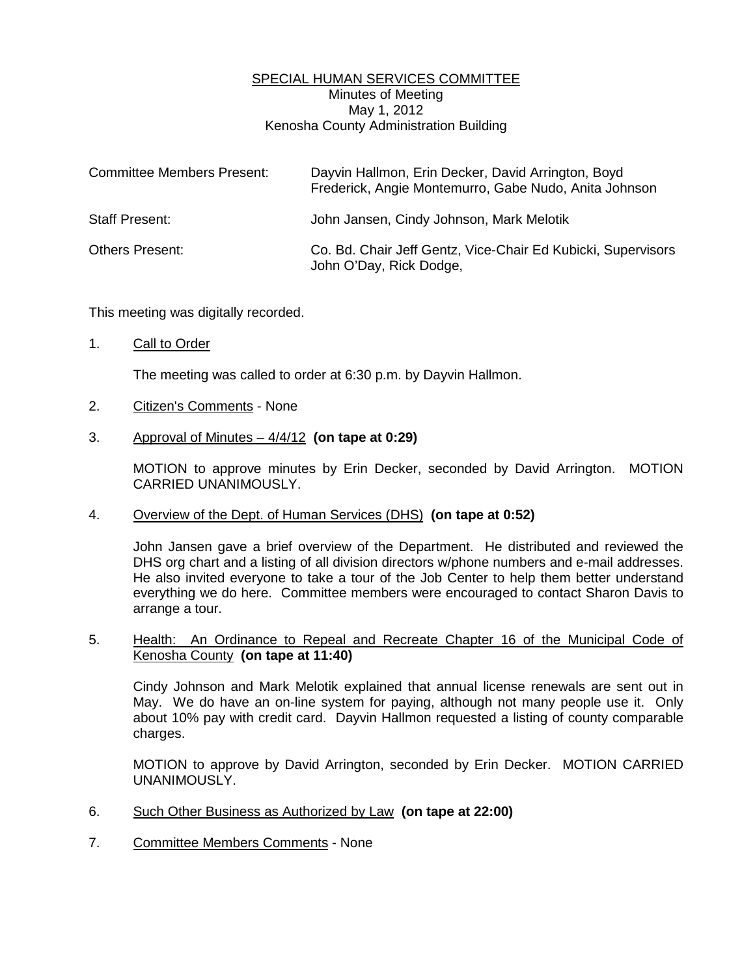## SPECIAL HUMAN SERVICES COMMITTEE Minutes of Meeting May 1, 2012 Kenosha County Administration Building

| <b>Committee Members Present:</b> | Dayvin Hallmon, Erin Decker, David Arrington, Boyd<br>Frederick, Angie Montemurro, Gabe Nudo, Anita Johnson |
|-----------------------------------|-------------------------------------------------------------------------------------------------------------|
| <b>Staff Present:</b>             | John Jansen, Cindy Johnson, Mark Melotik                                                                    |
| <b>Others Present:</b>            | Co. Bd. Chair Jeff Gentz, Vice-Chair Ed Kubicki, Supervisors<br>John O'Day, Rick Dodge,                     |

This meeting was digitally recorded.

1. Call to Order

The meeting was called to order at 6:30 p.m. by Dayvin Hallmon.

- 2. Citizen's Comments None
- 3. Approval of Minutes 4/4/12 **(on tape at 0:29)**

 MOTION to approve minutes by Erin Decker, seconded by David Arrington. MOTION CARRIED UNANIMOUSLY.

4. Overview of the Dept. of Human Services (DHS) **(on tape at 0:52)** 

 John Jansen gave a brief overview of the Department. He distributed and reviewed the DHS org chart and a listing of all division directors w/phone numbers and e-mail addresses. He also invited everyone to take a tour of the Job Center to help them better understand everything we do here. Committee members were encouraged to contact Sharon Davis to arrange a tour.

## 5. Health: An Ordinance to Repeal and Recreate Chapter 16 of the Municipal Code of Kenosha County **(on tape at 11:40)**

 Cindy Johnson and Mark Melotik explained that annual license renewals are sent out in May. We do have an on-line system for paying, although not many people use it. Only about 10% pay with credit card. Dayvin Hallmon requested a listing of county comparable charges.

 MOTION to approve by David Arrington, seconded by Erin Decker. MOTION CARRIED UNANIMOUSLY.

- 6. Such Other Business as Authorized by Law **(on tape at 22:00)**
- 7. Committee Members Comments None